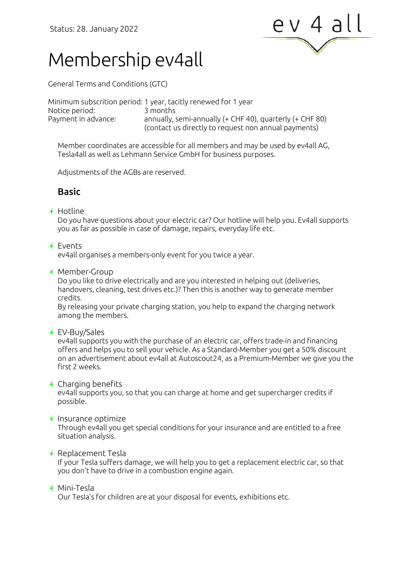

# Membership ev4all

General Terms and Conditions (GTC)

Minimum subscrition period: 1 year, tacitly renewed for 1 year Notice period: 3 months Payment in advance: annually, semi-annually (+ CHF 40), quarterly (+ CHF 80) (contact us directly to request non annual payments)

Member coordinates are accessible for all members and may be used by ev4all AG, Tesla4all as well as Lehmann Service GmbH for business purposes.

Adjustments of the AGBs are reserved.

# Basic

#### $\overline{f}$  Hotline

Do you have questions about your electric car? Our hotline will help you. Ev4all supports you as far as possible in case of damage, repairs, everyday life etc.

#### $\bigstar$  Fyents

ev4all organises a members-only event for you twice a year.

 $\rightarrow$  Member-Group

Do you like to drive electrically and are you interested in helping out (deliveries, handovers, cleaning, test drives etc.)? Then this is another way to generate member credits.

By releasing your private charging station, you help to expand the charging network among the members.

EV-Buy/Sales

ev4all supports you with the purchase of an electric car, offers trade-in and financing offers and helps you to sell your vehicle. As a Standard-Member you get a 50% discount on an advertisement about ev4all at Autoscout24, as a Premium-Member we give you the first 2 weeks.

#### $\overline{\mathcal{F}}$  Charging benefits

ev4all supports you, so that you can charge at home and get supercharger credits if possible.

#### $\overline{\mathcal{F}}$  Insurance optimize

Through ev4all you get special conditions for your insurance and are entitled to a free situation analysis.

#### $\rightarrow$  Replacement Tesla

If your Tesla suffers damage, we will help you to get a replacement electric car, so that you don't have to drive in a combustion engine again.

#### Mini-Tesla

Our Tesla's for children are at your disposal for events, exhibitions etc.